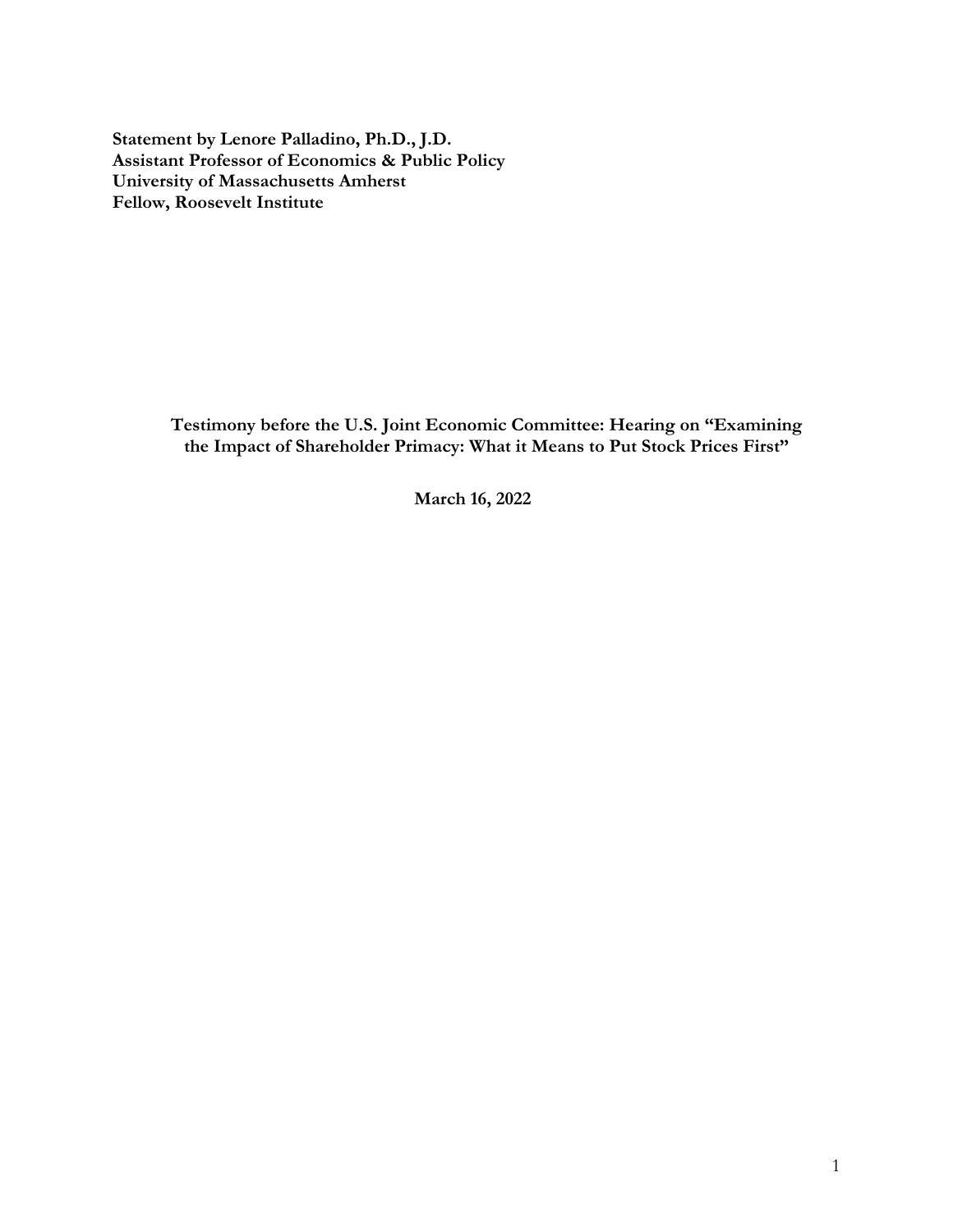**Statement by Lenore Palladino, Ph.D., J.D. Assistant Professor of Economics & Public Policy University of Massachusetts Amherst Fellow, Roosevelt Institute**

> **Testimony before the U.S. Joint Economic Committee: Hearing on "Examining the Impact of Shareholder Primacy: What it Means to Put Stock Prices First"**

> > **March 16, 2022**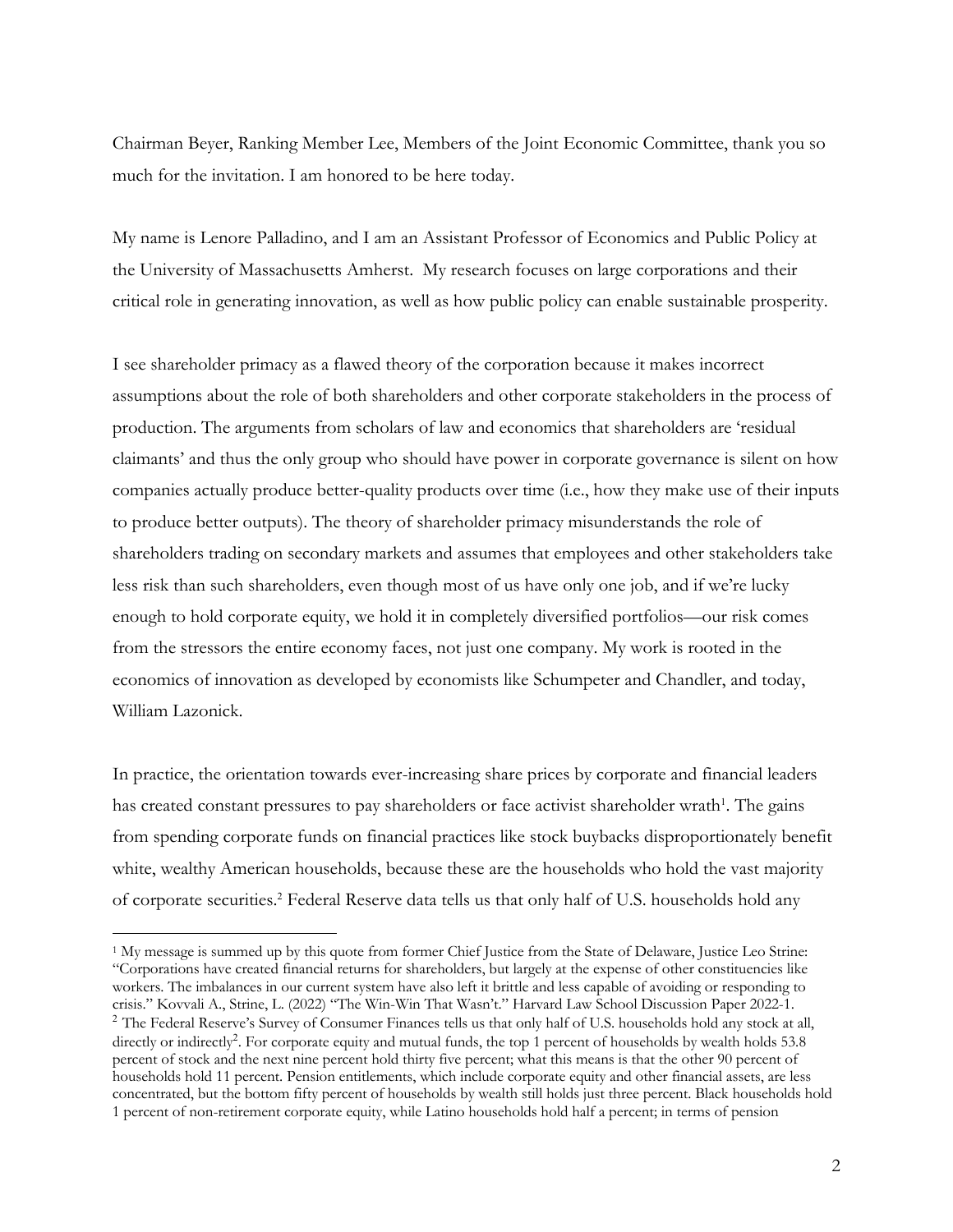Chairman Beyer, Ranking Member Lee, Members of the Joint Economic Committee, thank you so much for the invitation. I am honored to be here today.

My name is Lenore Palladino, and I am an Assistant Professor of Economics and Public Policy at the University of Massachusetts Amherst. My research focuses on large corporations and their critical role in generating innovation, as well as how public policy can enable sustainable prosperity.

I see shareholder primacy as a flawed theory of the corporation because it makes incorrect assumptions about the role of both shareholders and other corporate stakeholders in the process of production. The arguments from scholars of law and economics that shareholders are 'residual claimants' and thus the only group who should have power in corporate governance is silent on how companies actually produce better-quality products over time (i.e., how they make use of their inputs to produce better outputs). The theory of shareholder primacy misunderstands the role of shareholders trading on secondary markets and assumes that employees and other stakeholders take less risk than such shareholders, even though most of us have only one job, and if we're lucky enough to hold corporate equity, we hold it in completely diversified portfolios—our risk comes from the stressors the entire economy faces, not just one company. My work is rooted in the economics of innovation as developed by economists like Schumpeter and Chandler, and today, William Lazonick.

In practice, the orientation towards ever-increasing share prices by corporate and financial leaders has created constant pressures to pay shareholders or face activist shareholder wrath<sup>1</sup>. The gains from spending corporate funds on financial practices like stock buybacks disproportionately benefit white, wealthy American households, because these are the households who hold the vast majority of corporate securities. <sup>2</sup> Federal Reserve data tells us that only half of U.S. households hold any

<sup>1</sup> My message is summed up by this quote from former Chief Justice from the State of Delaware, Justice Leo Strine: "Corporations have created financial returns for shareholders, but largely at the expense of other constituencies like workers. The imbalances in our current system have also left it brittle and less capable of avoiding or responding to crisis." Kovvali A., Strine, L. (2022) "The Win-Win That Wasn't." Harvard Law School Discussion Paper 2022-1. <sup>2</sup> The Federal Reserve's Survey of Consumer Finances tells us that only half of U.S. households hold any stock at all, directly or indirectly<sup>2</sup>. For corporate equity and mutual funds, the top 1 percent of households by wealth holds 53.8 percent of stock and the next nine percent hold thirty five percent; what this means is that the other 90 percent of households hold 11 percent. Pension entitlements, which include corporate equity and other financial assets, are less concentrated, but the bottom fifty percent of households by wealth still holds just three percent. Black households hold 1 percent of non-retirement corporate equity, while Latino households hold half a percent; in terms of pension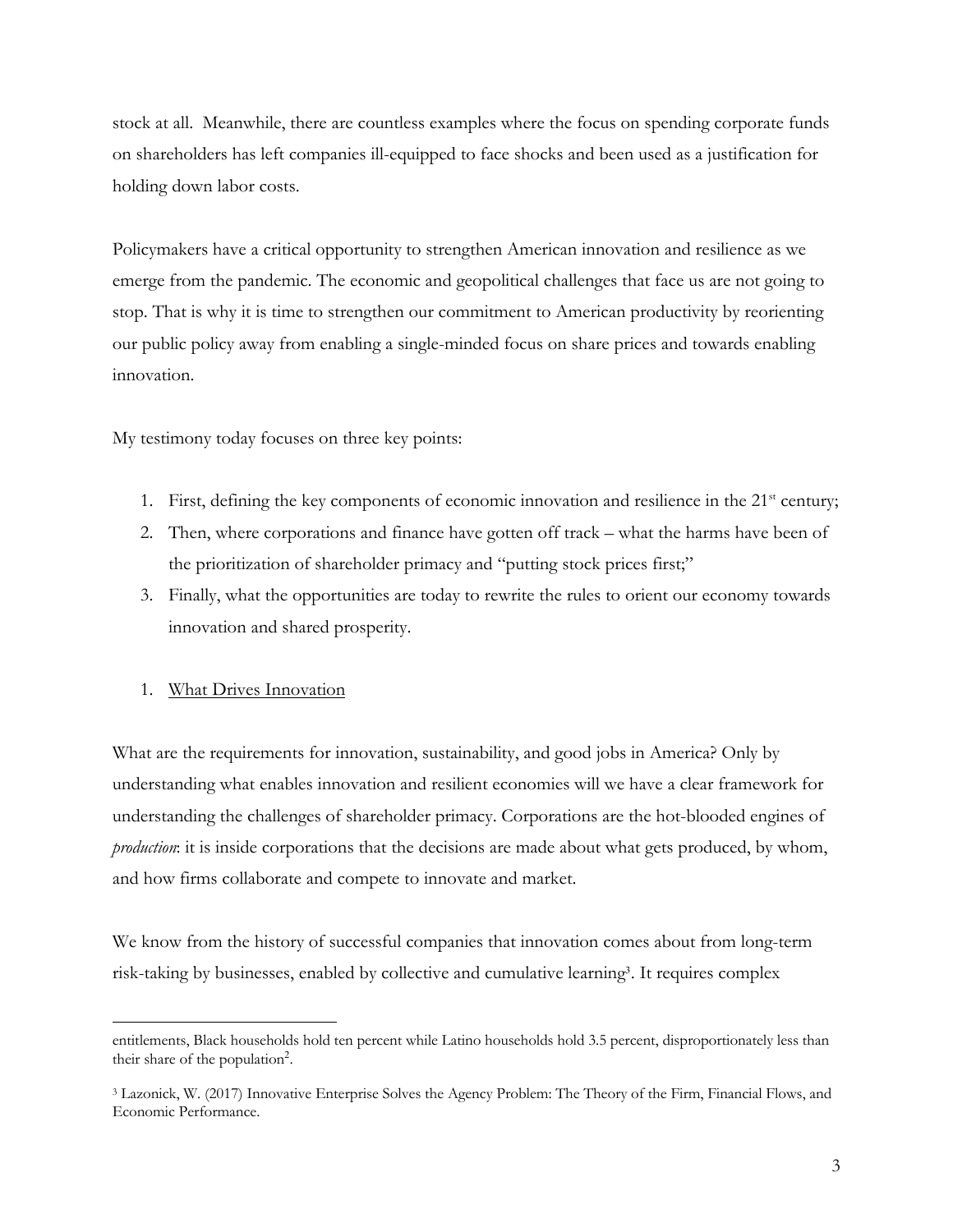stock at all. Meanwhile, there are countless examples where the focus on spending corporate funds on shareholders has left companies ill-equipped to face shocks and been used as a justification for holding down labor costs.

Policymakers have a critical opportunity to strengthen American innovation and resilience as we emerge from the pandemic. The economic and geopolitical challenges that face us are not going to stop. That is why it is time to strengthen our commitment to American productivity by reorienting our public policy away from enabling a single-minded focus on share prices and towards enabling innovation.

My testimony today focuses on three key points:

- 1. First, defining the key components of economic innovation and resilience in the  $21<sup>st</sup>$  century;
- 2. Then, where corporations and finance have gotten off track what the harms have been of the prioritization of shareholder primacy and "putting stock prices first;"
- 3. Finally, what the opportunities are today to rewrite the rules to orient our economy towards innovation and shared prosperity.

## 1. What Drives Innovation

What are the requirements for innovation, sustainability, and good jobs in America? Only by understanding what enables innovation and resilient economies will we have a clear framework for understanding the challenges of shareholder primacy. Corporations are the hot-blooded engines of *production*: it is inside corporations that the decisions are made about what gets produced, by whom, and how firms collaborate and compete to innovate and market.

We know from the history of successful companies that innovation comes about from long-term risk-taking by businesses, enabled by collective and cumulative learning<sup>3</sup> . It requires complex

entitlements, Black households hold ten percent while Latino households hold 3.5 percent, disproportionately less than their share of the population<sup>2</sup>.

<sup>3</sup> Lazonick, W. (2017) Innovative Enterprise Solves the Agency Problem: The Theory of the Firm, Financial Flows, and Economic Performance.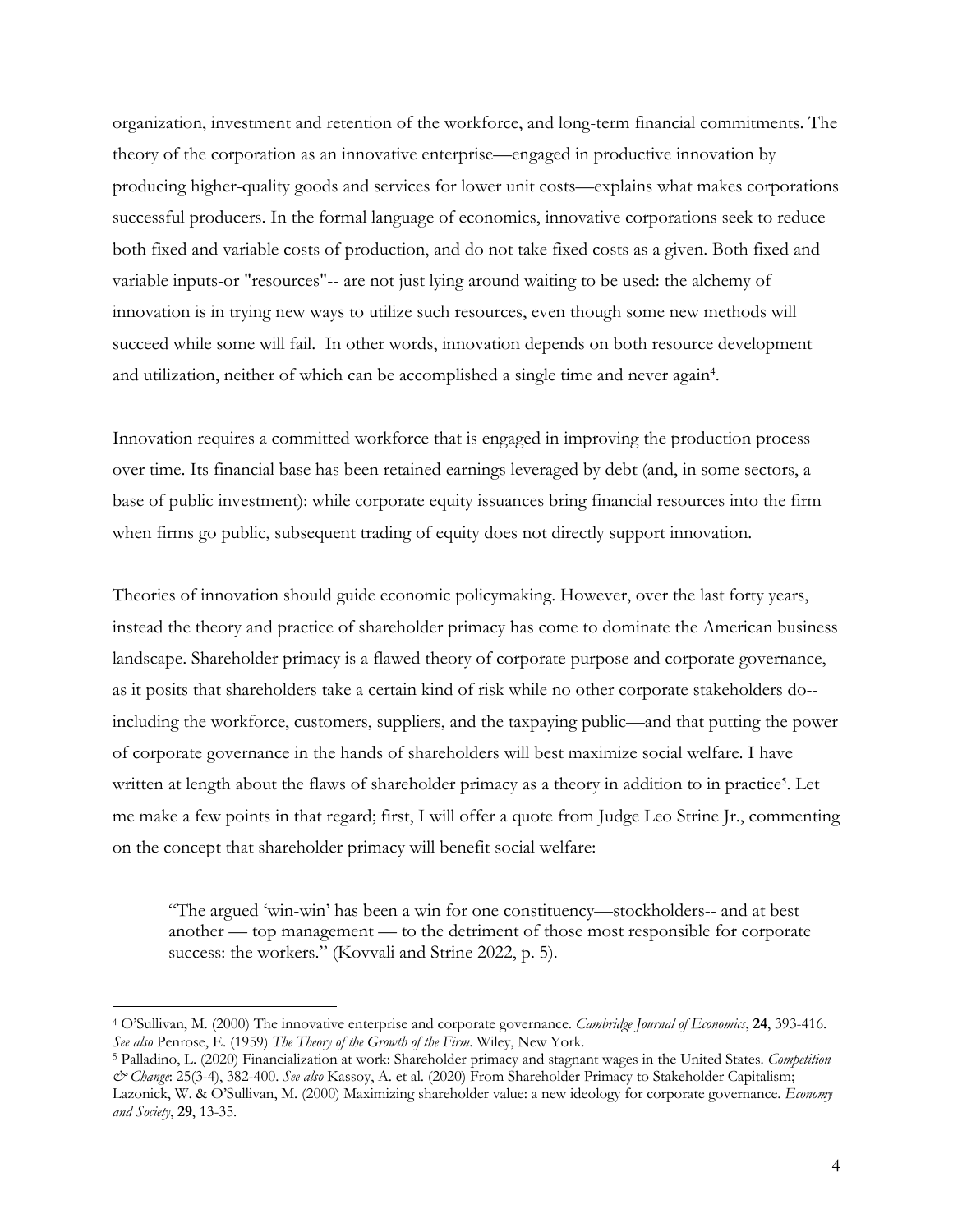organization, investment and retention of the workforce, and long-term financial commitments. The theory of the corporation as an innovative enterprise—engaged in productive innovation by producing higher-quality goods and services for lower unit costs—explains what makes corporations successful producers. In the formal language of economics, innovative corporations seek to reduce both fixed and variable costs of production, and do not take fixed costs as a given. Both fixed and variable inputs-or "resources"-- are not just lying around waiting to be used: the alchemy of innovation is in trying new ways to utilize such resources, even though some new methods will succeed while some will fail. In other words, innovation depends on both resource development and utilization, neither of which can be accomplished a single time and never again<sup>4</sup>.

Innovation requires a committed workforce that is engaged in improving the production process over time. Its financial base has been retained earnings leveraged by debt (and, in some sectors, a base of public investment): while corporate equity issuances bring financial resources into the firm when firms go public, subsequent trading of equity does not directly support innovation.

Theories of innovation should guide economic policymaking. However, over the last forty years, instead the theory and practice of shareholder primacy has come to dominate the American business landscape. Shareholder primacy is a flawed theory of corporate purpose and corporate governance, as it posits that shareholders take a certain kind of risk while no other corporate stakeholders do- including the workforce, customers, suppliers, and the taxpaying public—and that putting the power of corporate governance in the hands of shareholders will best maximize social welfare. I have written at length about the flaws of shareholder primacy as a theory in addition to in practice<sup>5</sup>. Let me make a few points in that regard; first, I will offer a quote from Judge Leo Strine Jr., commenting on the concept that shareholder primacy will benefit social welfare:

"The argued 'win-win' has been a win for one constituency—stockholders-- and at best another — top management — to the detriment of those most responsible for corporate success: the workers." (Kovvali and Strine 2022, p. 5).

<sup>4</sup> O'Sullivan, M. (2000) The innovative enterprise and corporate governance. *Cambridge Journal of Economics*, **24**, 393-416. *See also* Penrose, E. (1959) *The Theory of the Growth of the Firm*. Wiley, New York.

<sup>5</sup> Palladino, L. (2020) Financialization at work: Shareholder primacy and stagnant wages in the United States. *Competition & Change*: 25(3-4), 382-400. *See also* Kassoy, A. et al. (2020) From Shareholder Primacy to Stakeholder Capitalism; Lazonick, W. & O'Sullivan, M. (2000) Maximizing shareholder value: a new ideology for corporate governance. *Economy and Society*, **29**, 13-35.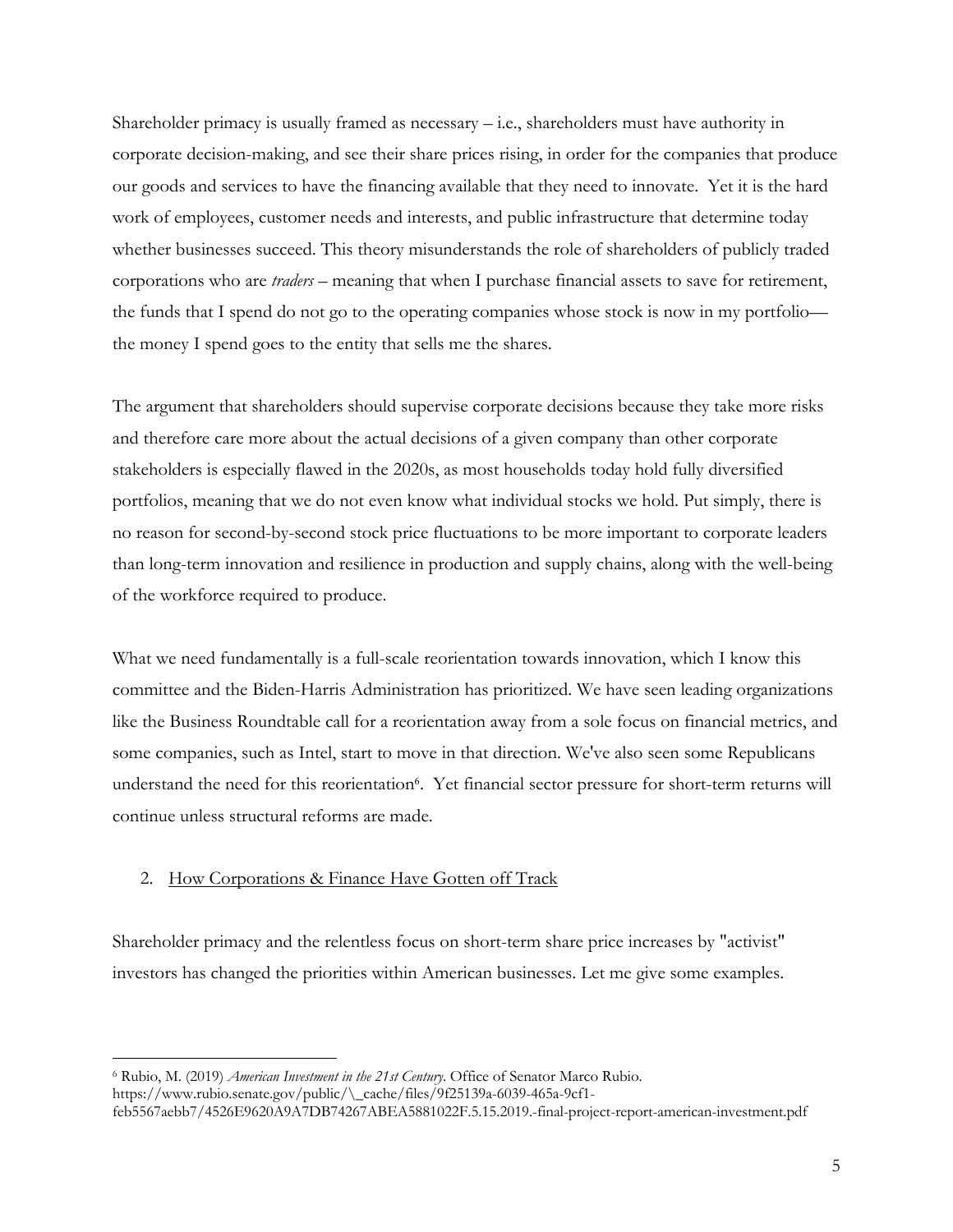Shareholder primacy is usually framed as necessary  $-$  i.e., shareholders must have authority in corporate decision-making, and see their share prices rising, in order for the companies that produce our goods and services to have the financing available that they need to innovate. Yet it is the hard work of employees, customer needs and interests, and public infrastructure that determine today whether businesses succeed. This theory misunderstands the role of shareholders of publicly traded corporations who are *traders –* meaning that when I purchase financial assets to save for retirement, the funds that I spend do not go to the operating companies whose stock is now in my portfolio the money I spend goes to the entity that sells me the shares.

The argument that shareholders should supervise corporate decisions because they take more risks and therefore care more about the actual decisions of a given company than other corporate stakeholders is especially flawed in the 2020s, as most households today hold fully diversified portfolios, meaning that we do not even know what individual stocks we hold. Put simply, there is no reason for second-by-second stock price fluctuations to be more important to corporate leaders than long-term innovation and resilience in production and supply chains, along with the well-being of the workforce required to produce.

What we need fundamentally is a full-scale reorientation towards innovation, which I know this committee and the Biden-Harris Administration has prioritized. We have seen leading organizations like the Business Roundtable call for a reorientation away from a sole focus on financial metrics, and some companies, such as Intel, start to move in that direction. We've also seen some Republicans understand the need for this reorientation<sup>6</sup>. Yet financial sector pressure for short-term returns will continue unless structural reforms are made.

## 2. How Corporations & Finance Have Gotten off Track

Shareholder primacy and the relentless focus on short-term share price increases by "activist" investors has changed the priorities within American businesses. Let me give some examples.

<sup>6</sup> Rubio, M. (2019) *American Investment in the 21st Century*. Office of Senator Marco Rubio.

https://www.rubio.senate.gov/public/\\_cache/files/9f25139a-6039-465a-9cf1-

feb5567aebb7/4526E9620A9A7DB74267ABEA5881022F.5.15.2019.-final-project-report-american-investment.pdf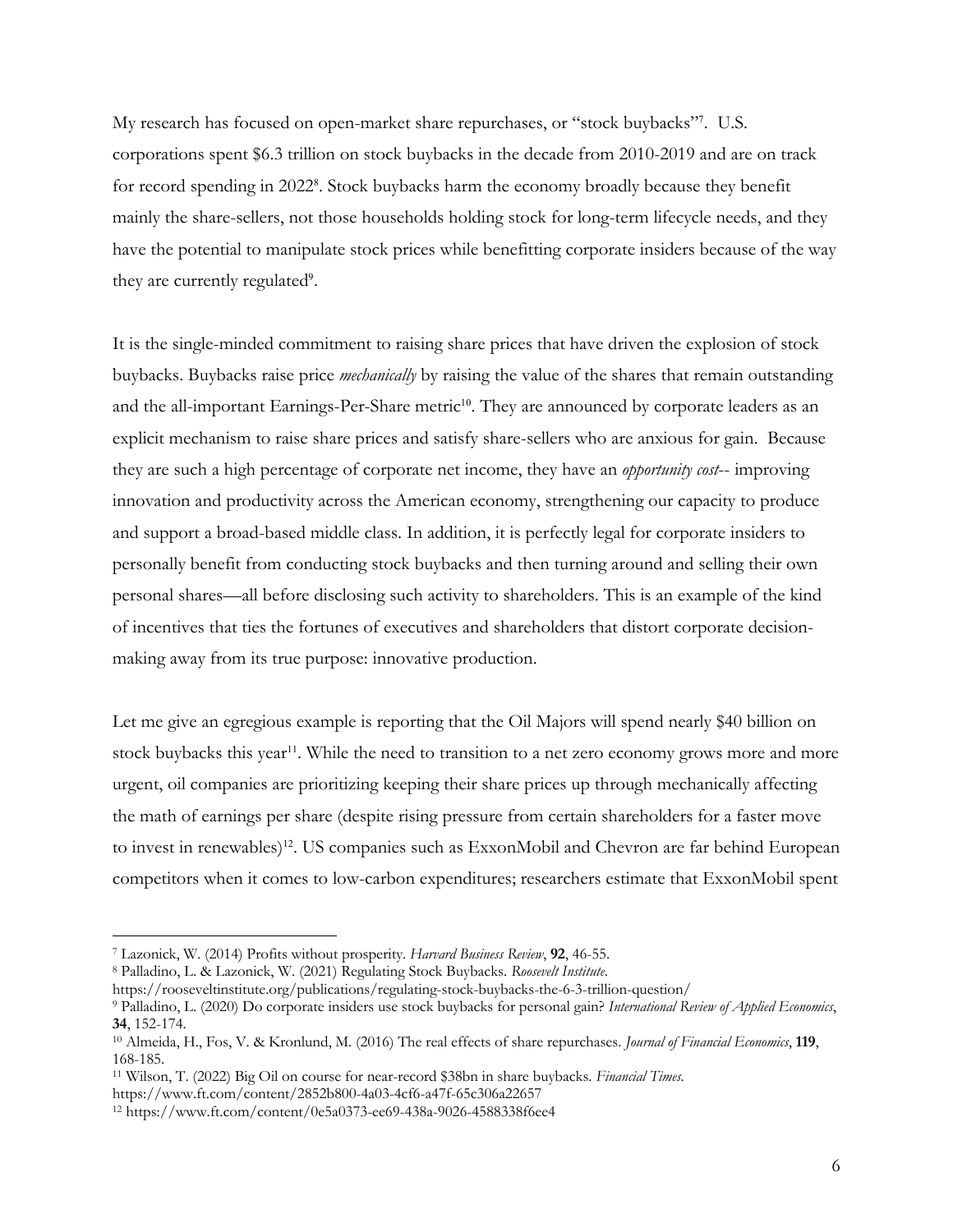My research has focused on open-market share repurchases, or "stock buybacks"<sup>7</sup> . U.S. corporations spent \$6.3 trillion on stock buybacks in the decade from 2010-2019 and are on track for record spending in 2022<sup>8</sup>. Stock buybacks harm the economy broadly because they benefit mainly the share-sellers, not those households holding stock for long-term lifecycle needs, and they have the potential to manipulate stock prices while benefitting corporate insiders because of the way they are currently regulated<sup>9</sup>.

It is the single-minded commitment to raising share prices that have driven the explosion of stock buybacks. Buybacks raise price *mechanically* by raising the value of the shares that remain outstanding and the all-important Earnings-Per-Share metric<sup>10</sup>. They are announced by corporate leaders as an explicit mechanism to raise share prices and satisfy share-sellers who are anxious for gain. Because they are such a high percentage of corporate net income, they have an *opportunity cost*-- improving innovation and productivity across the American economy, strengthening our capacity to produce and support a broad-based middle class. In addition, it is perfectly legal for corporate insiders to personally benefit from conducting stock buybacks and then turning around and selling their own personal shares—all before disclosing such activity to shareholders. This is an example of the kind of incentives that ties the fortunes of executives and shareholders that distort corporate decisionmaking away from its true purpose: innovative production.

Let me give an egregious example is reporting that the Oil Majors will spend nearly \$40 billion on stock buybacks this year<sup>11</sup>. While the need to transition to a net zero economy grows more and more urgent, oil companies are prioritizing keeping their share prices up through mechanically affecting the math of earnings per share (despite rising pressure from certain shareholders for a faster move to invest in renewables)<sup>12</sup>. US companies such as ExxonMobil and Chevron are far behind European competitors when it comes to low-carbon expenditures; researchers estimate that ExxonMobil spent

<sup>7</sup> Lazonick, W. (2014) Profits without prosperity. *Harvard Business Review*, **92**, 46-55.

<sup>8</sup> Palladino, L. & Lazonick, W. (2021) Regulating Stock Buybacks. *Roosevelt Institute*.

https://rooseveltinstitute.org/publications/regulating-stock-buybacks-the-6-3-trillion-question/

<sup>9</sup> Palladino, L. (2020) Do corporate insiders use stock buybacks for personal gain? *International Review of Applied Economics*, **34**, 152-174.

<sup>10</sup> Almeida, H., Fos, V. & Kronlund, M. (2016) The real effects of share repurchases. *Journal of Financial Economics*, **119**, 168-185.

<sup>11</sup> Wilson, T. (2022) Big Oil on course for near-record \$38bn in share buybacks. *Financial Times.* 

https://www.ft.com/content/2852b800-4a03-4cf6-a47f-65c306a22657

<sup>12</sup> https://www.ft.com/content/0e5a0373-ee69-438a-9026-4588338f6ee4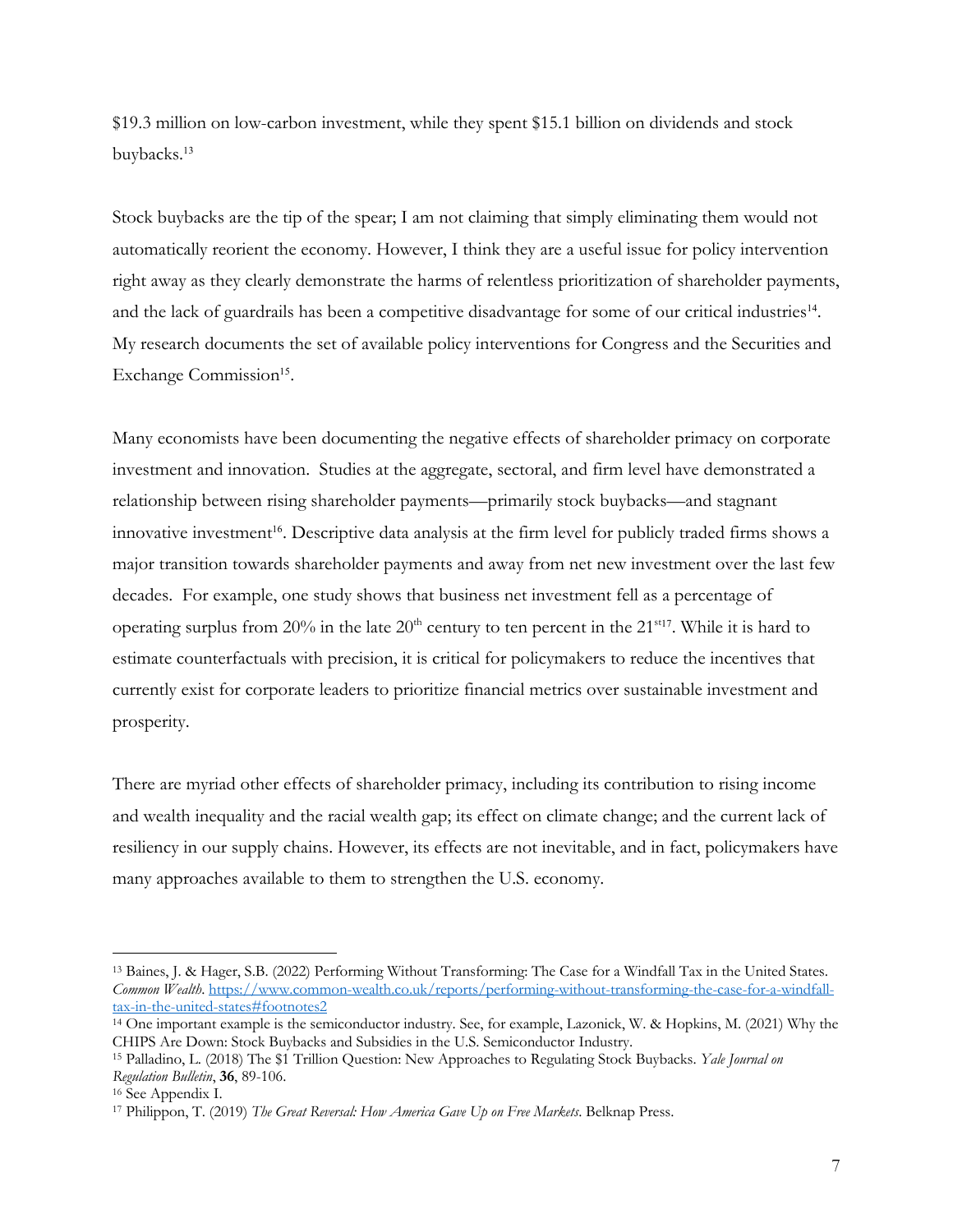\$19.3 million on low-carbon investment, while they spent \$15.1 billion on dividends and stock buybacks.<sup>13</sup>

Stock buybacks are the tip of the spear; I am not claiming that simply eliminating them would not automatically reorient the economy. However, I think they are a useful issue for policy intervention right away as they clearly demonstrate the harms of relentless prioritization of shareholder payments, and the lack of guardrails has been a competitive disadvantage for some of our critical industries14. My research documents the set of available policy interventions for Congress and the Securities and Exchange Commission<sup>15</sup>.

Many economists have been documenting the negative effects of shareholder primacy on corporate investment and innovation. Studies at the aggregate, sectoral, and firm level have demonstrated a relationship between rising shareholder payments—primarily stock buybacks—and stagnant innovative investment<sup>16</sup>. Descriptive data analysis at the firm level for publicly traded firms shows a major transition towards shareholder payments and away from net new investment over the last few decades. For example, one study shows that business net investment fell as a percentage of operating surplus from  $20\%$  in the late  $20<sup>th</sup>$  century to ten percent in the  $21<sup>st17</sup>$ . While it is hard to estimate counterfactuals with precision, it is critical for policymakers to reduce the incentives that currently exist for corporate leaders to prioritize financial metrics over sustainable investment and prosperity.

There are myriad other effects of shareholder primacy, including its contribution to rising income and wealth inequality and the racial wealth gap; its effect on climate change; and the current lack of resiliency in our supply chains. However, its effects are not inevitable, and in fact, policymakers have many approaches available to them to strengthen the U.S. economy.

<sup>13</sup> Baines, J. & Hager, S.B. (2022) Performing Without Transforming: The Case for a Windfall Tax in the United States. *Common Wealth*. https://www.common-wealth.co.uk/reports/performing-without-transforming-the-case-for-a-windfalltax-in-the-united-states#footnotes2

<sup>14</sup> One important example is the semiconductor industry. See, for example, Lazonick, W. & Hopkins, M. (2021) Why the CHIPS Are Down: Stock Buybacks and Subsidies in the U.S. Semiconductor Industry.

<sup>15</sup> Palladino, L. (2018) The \$1 Trillion Question: New Approaches to Regulating Stock Buybacks. *Yale Journal on Regulation Bulletin*, **36**, 89-106.

<sup>16</sup> See Appendix I.

<sup>17</sup> Philippon, T. (2019) *The Great Reversal: How America Gave Up on Free Markets*. Belknap Press.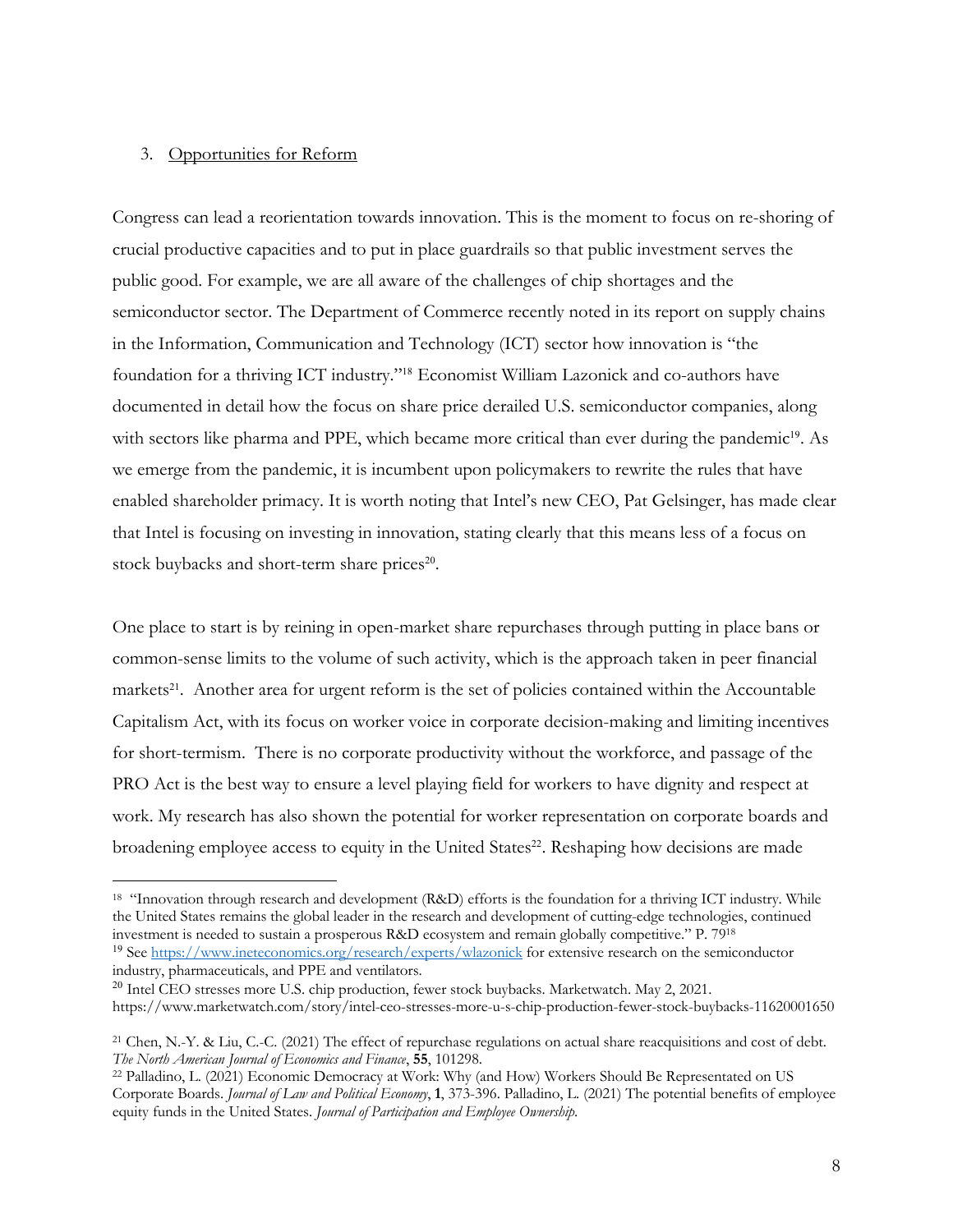## 3. Opportunities for Reform

Congress can lead a reorientation towards innovation. This is the moment to focus on re-shoring of crucial productive capacities and to put in place guardrails so that public investment serves the public good. For example, we are all aware of the challenges of chip shortages and the semiconductor sector. The Department of Commerce recently noted in its report on supply chains in the Information, Communication and Technology (ICT) sector how innovation is "the foundation for a thriving ICT industry."<sup>18</sup> Economist William Lazonick and co-authors have documented in detail how the focus on share price derailed U.S. semiconductor companies, along with sectors like pharma and PPE, which became more critical than ever during the pandemic<sup>19</sup>. As we emerge from the pandemic, it is incumbent upon policymakers to rewrite the rules that have enabled shareholder primacy. It is worth noting that Intel's new CEO, Pat Gelsinger, has made clear that Intel is focusing on investing in innovation, stating clearly that this means less of a focus on stock buybacks and short-term share prices<sup>20</sup>.

One place to start is by reining in open-market share repurchases through putting in place bans or common-sense limits to the volume of such activity, which is the approach taken in peer financial markets<sup>21</sup>. Another area for urgent reform is the set of policies contained within the Accountable Capitalism Act, with its focus on worker voice in corporate decision-making and limiting incentives for short-termism. There is no corporate productivity without the workforce, and passage of the PRO Act is the best way to ensure a level playing field for workers to have dignity and respect at work. My research has also shown the potential for worker representation on corporate boards and broadening employee access to equity in the United States<sup>22</sup>. Reshaping how decisions are made

https://www.marketwatch.com/story/intel-ceo-stresses-more-u-s-chip-production-fewer-stock-buybacks-11620001650

<sup>18 &</sup>quot;Innovation through research and development (R&D) efforts is the foundation for a thriving ICT industry. While the United States remains the global leader in the research and development of cutting-edge technologies, continued investment is needed to sustain a prosperous R&D ecosystem and remain globally competitive." P. 7918 <sup>19</sup> See https://www.ineteconomics.org/research/experts/wlazonick for extensive research on the semiconductor industry, pharmaceuticals, and PPE and ventilators.

<sup>&</sup>lt;sup>20</sup> Intel CEO stresses more U.S. chip production, fewer stock buybacks. Marketwatch. May 2, 2021.

<sup>21</sup> Chen, N.-Y. & Liu, C.-C. (2021) The effect of repurchase regulations on actual share reacquisitions and cost of debt. *The North American Journal of Economics and Finance*, **55**, 101298.

<sup>22</sup> Palladino, L. (2021) Economic Democracy at Work: Why (and How) Workers Should Be Representated on US Corporate Boards. *Journal of Law and Political Economy*, **1**, 373-396. Palladino, L. (2021) The potential benefits of employee equity funds in the United States. *Journal of Participation and Employee Ownership*.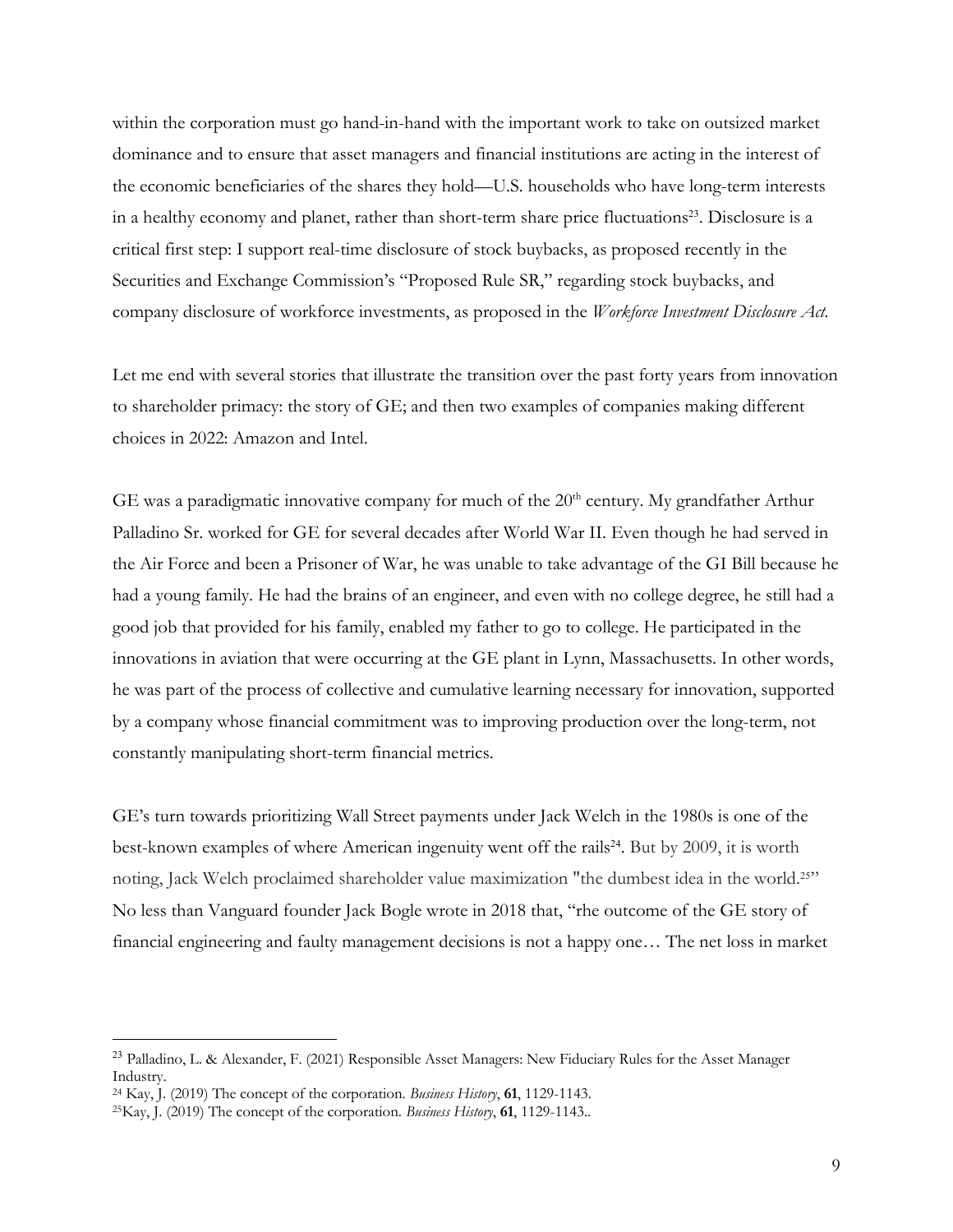within the corporation must go hand-in-hand with the important work to take on outsized market dominance and to ensure that asset managers and financial institutions are acting in the interest of the economic beneficiaries of the shares they hold—U.S. households who have long-term interests in a healthy economy and planet, rather than short-term share price fluctuations<sup>23</sup>. Disclosure is a critical first step: I support real-time disclosure of stock buybacks, as proposed recently in the Securities and Exchange Commission's "Proposed Rule SR," regarding stock buybacks, and company disclosure of workforce investments, as proposed in the *Workforce Investment Disclosure Act.* 

Let me end with several stories that illustrate the transition over the past forty years from innovation to shareholder primacy: the story of GE; and then two examples of companies making different choices in 2022: Amazon and Intel.

GE was a paradigmatic innovative company for much of the  $20<sup>th</sup>$  century. My grandfather Arthur Palladino Sr. worked for GE for several decades after World War II. Even though he had served in the Air Force and been a Prisoner of War, he was unable to take advantage of the GI Bill because he had a young family. He had the brains of an engineer, and even with no college degree, he still had a good job that provided for his family, enabled my father to go to college. He participated in the innovations in aviation that were occurring at the GE plant in Lynn, Massachusetts. In other words, he was part of the process of collective and cumulative learning necessary for innovation, supported by a company whose financial commitment was to improving production over the long-term, not constantly manipulating short-term financial metrics.

GE's turn towards prioritizing Wall Street payments under Jack Welch in the 1980s is one of the best-known examples of where American ingenuity went off the rails<sup>24</sup>. But by 2009, it is worth noting, Jack Welch proclaimed shareholder value maximization "the dumbest idea in the world.25" No less than Vanguard founder Jack Bogle wrote in 2018 that, "rhe outcome of the GE story of financial engineering and faulty management decisions is not a happy one… The net loss in market

<sup>23</sup> Palladino, L. & Alexander, F. (2021) Responsible Asset Managers: New Fiduciary Rules for the Asset Manager Industry.

<sup>24</sup> Kay, J. (2019) The concept of the corporation. *Business History*, **61**, 1129-1143.

<sup>25</sup>Kay, J. (2019) The concept of the corporation. *Business History*, **61**, 1129-1143..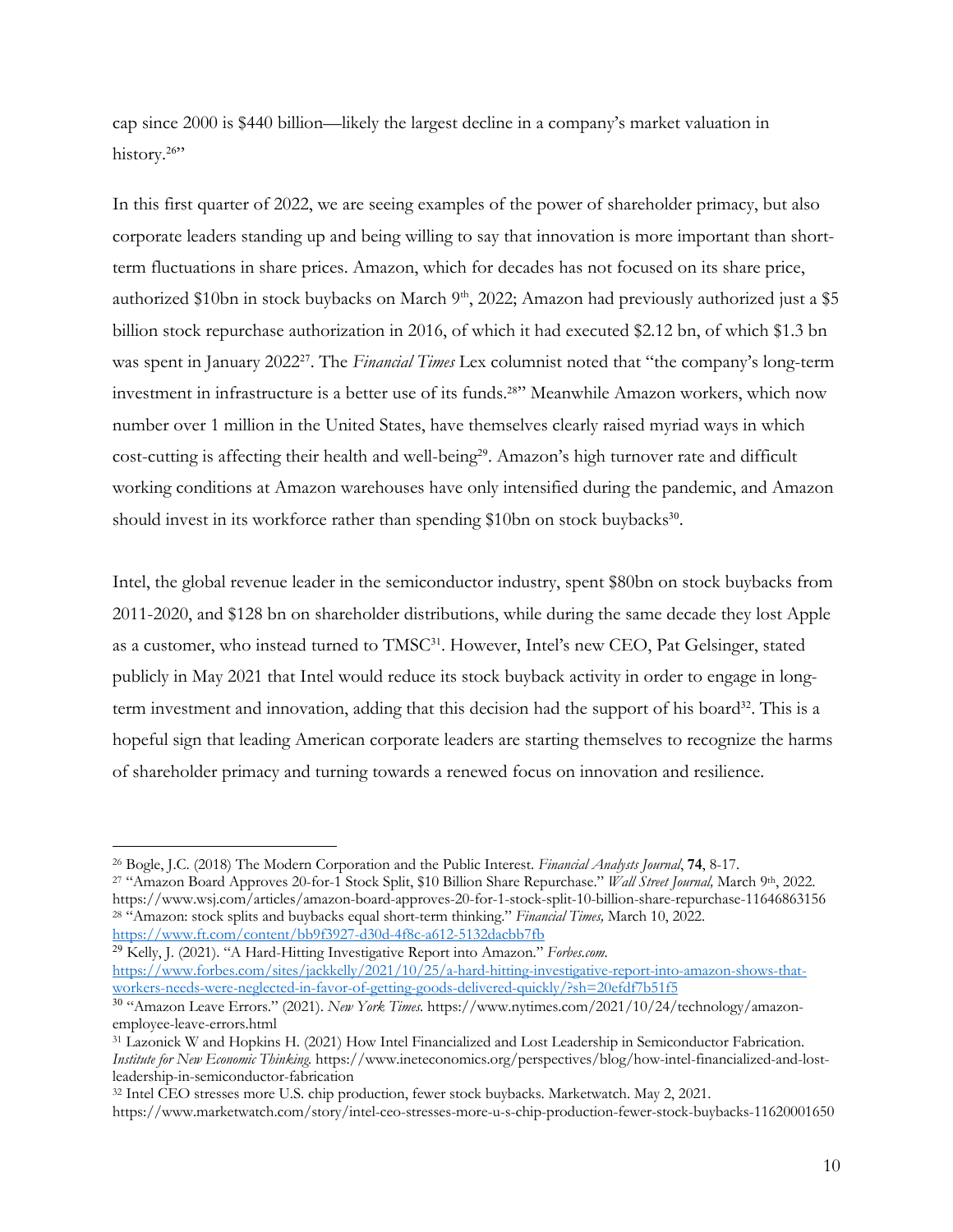cap since 2000 is \$440 billion—likely the largest decline in a company's market valuation in history.<sup>26"</sup>

In this first quarter of 2022, we are seeing examples of the power of shareholder primacy, but also corporate leaders standing up and being willing to say that innovation is more important than shortterm fluctuations in share prices. Amazon, which for decades has not focused on its share price, authorized \$10bn in stock buybacks on March 9<sup>th</sup>, 2022; Amazon had previously authorized just a \$5 billion stock repurchase authorization in 2016, of which it had executed \$2.12 bn, of which \$1.3 bn was spent in January 202227. The *Financial Times* Lex columnist noted that "the company's long-term investment in infrastructure is a better use of its funds.28" Meanwhile Amazon workers, which now number over 1 million in the United States, have themselves clearly raised myriad ways in which cost-cutting is affecting their health and well-being<sup>29</sup>. Amazon's high turnover rate and difficult working conditions at Amazon warehouses have only intensified during the pandemic, and Amazon should invest in its workforce rather than spending \$10bn on stock buybacks<sup>30</sup>.

Intel, the global revenue leader in the semiconductor industry, spent \$80bn on stock buybacks from 2011-2020, and \$128 bn on shareholder distributions, while during the same decade they lost Apple as a customer, who instead turned to TMSC<sup>31</sup>. However, Intel's new CEO, Pat Gelsinger, stated publicly in May 2021 that Intel would reduce its stock buyback activity in order to engage in longterm investment and innovation, adding that this decision had the support of his board<sup>32</sup>. This is a hopeful sign that leading American corporate leaders are starting themselves to recognize the harms of shareholder primacy and turning towards a renewed focus on innovation and resilience.

<sup>29</sup> Kelly, J. (2021). "A Hard-Hitting Investigative Report into Amazon." *Forbes.com.*  https://www.forbes.com/sites/jackkelly/2021/10/25/a-hard-hitting-investigative-report-into-amazon-shows-thatworkers-needs-were-neglected-in-favor-of-getting-goods-delivered-quickly/?sh=20efdf7b51f5

<sup>32</sup> Intel CEO stresses more U.S. chip production, fewer stock buybacks. Marketwatch. May 2, 2021.

<sup>26</sup> Bogle, J.C. (2018) The Modern Corporation and the Public Interest. *Financial Analysts Journal*, **74**, 8-17.

<sup>27</sup> "Amazon Board Approves 20-for-1 Stock Split, \$10 Billion Share Repurchase." *Wall Street Journal,* March 9th, 2022. https://www.wsj.com/articles/amazon-board-approves-20-for-1-stock-split-10-billion-share-repurchase-11646863156 <sup>28</sup> "Amazon: stock splits and buybacks equal short-term thinking." *Financial Times,* March 10, 2022. https://www.ft.com/content/bb9f3927-d30d-4f8c-a612-5132dacbb7fb

<sup>30</sup> "Amazon Leave Errors." (2021). *New York Times.* https://www.nytimes.com/2021/10/24/technology/amazonemployee-leave-errors.html

<sup>31</sup> Lazonick W and Hopkins H. (2021) How Intel Financialized and Lost Leadership in Semiconductor Fabrication. *Institute for New Economic Thinking.* https://www.ineteconomics.org/perspectives/blog/how-intel-financialized-and-lostleadership-in-semiconductor-fabrication

https://www.marketwatch.com/story/intel-ceo-stresses-more-u-s-chip-production-fewer-stock-buybacks-11620001650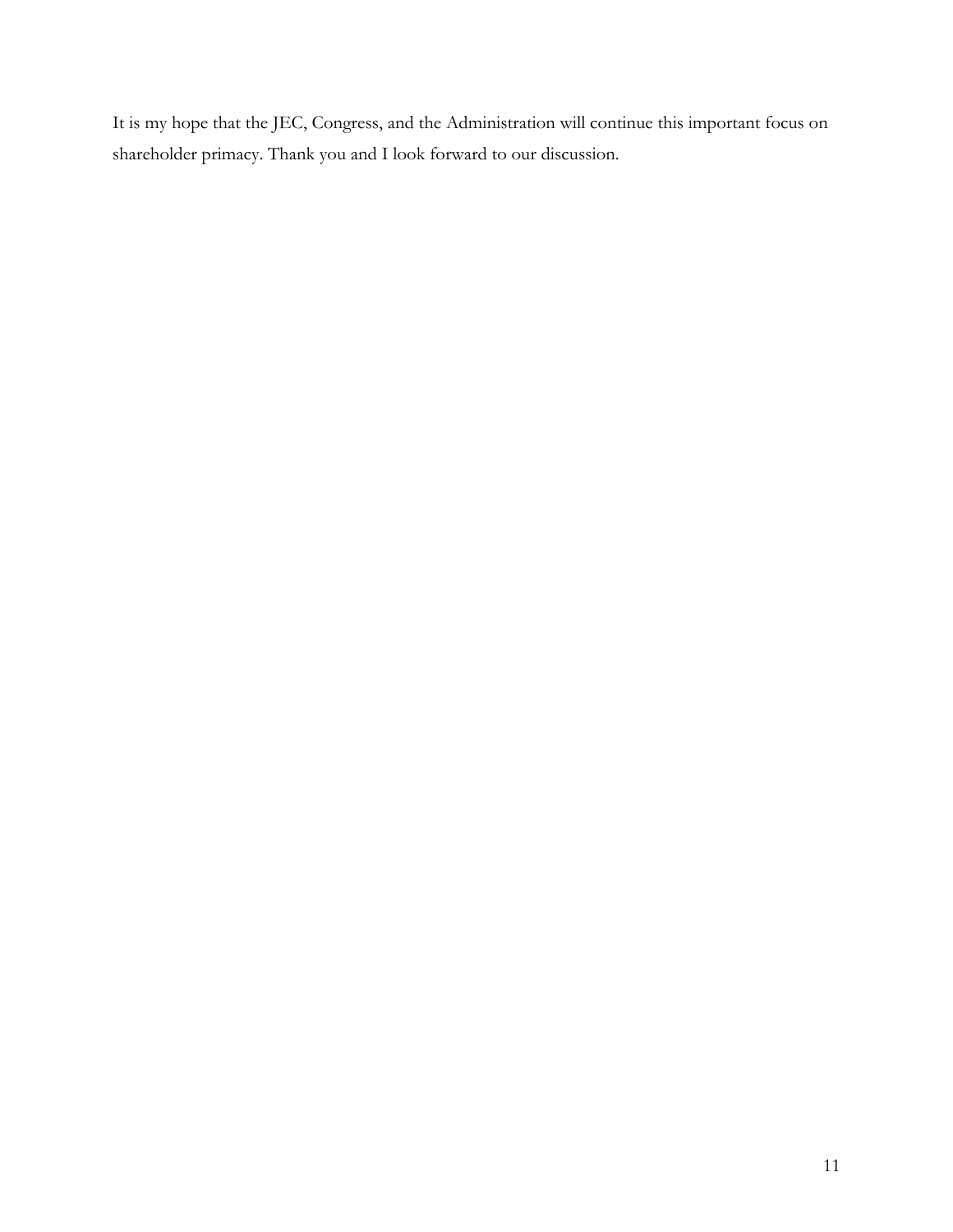It is my hope that the JEC, Congress, and the Administration will continue this important focus on shareholder primacy. Thank you and I look forward to our discussion.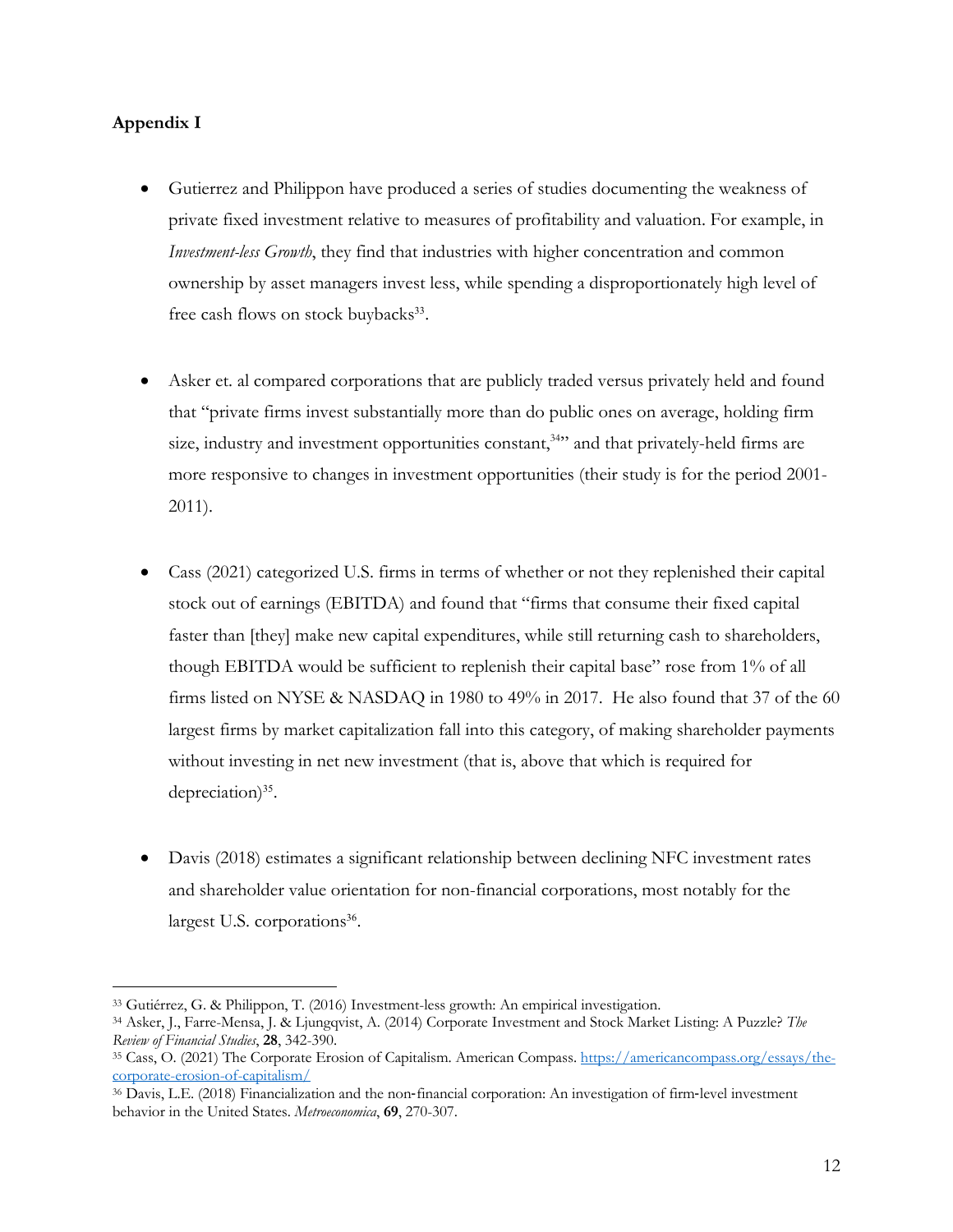## **Appendix I**

- Gutierrez and Philippon have produced a series of studies documenting the weakness of private fixed investment relative to measures of profitability and valuation. For example, in *Investment-less Growth*, they find that industries with higher concentration and common ownership by asset managers invest less, while spending a disproportionately high level of free cash flows on stock buybacks<sup>33</sup>.
- Asker et. al compared corporations that are publicly traded versus privately held and found that "private firms invest substantially more than do public ones on average, holding firm size, industry and investment opportunities constant,<sup>34</sup> and that privately-held firms are more responsive to changes in investment opportunities (their study is for the period 2001- 2011).
- Cass (2021) categorized U.S. firms in terms of whether or not they replenished their capital stock out of earnings (EBITDA) and found that "firms that consume their fixed capital faster than [they] make new capital expenditures, while still returning cash to shareholders, though EBITDA would be sufficient to replenish their capital base" rose from 1% of all firms listed on NYSE & NASDAQ in 1980 to 49% in 2017. He also found that 37 of the 60 largest firms by market capitalization fall into this category, of making shareholder payments without investing in net new investment (that is, above that which is required for depreciation) $35$ .
- Davis (2018) estimates a significant relationship between declining NFC investment rates and shareholder value orientation for non-financial corporations, most notably for the largest U.S. corporations<sup>36</sup>.

<sup>33</sup> Gutiérrez, G. & Philippon, T. (2016) Investment-less growth: An empirical investigation.

<sup>34</sup> Asker, J., Farre-Mensa, J. & Ljungqvist, A. (2014) Corporate Investment and Stock Market Listing: A Puzzle? *The Review of Financial Studies*, **28**, 342-390.

<sup>35</sup> Cass, O. (2021) The Corporate Erosion of Capitalism. American Compass. https://americancompass.org/essays/thecorporate-erosion-of-capitalism/

<sup>36</sup> Davis, L.E. (2018) Financialization and the non-financial corporation: An investigation of firm-level investment behavior in the United States. *Metroeconomica*, **69**, 270-307.